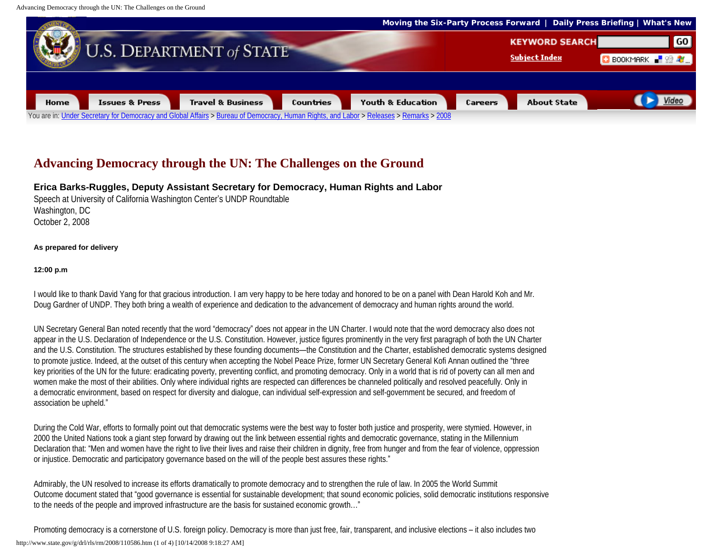

## **Advancing Democracy through the UN: The Challenges on the Ground**

**Erica Barks-Ruggles, Deputy Assistant Secretary for Democracy, Human Rights and Labor**

Speech at University of California Washington Center's UNDP Roundtable Washington, DC October 2, 2008

## **As prepared for delivery**

## **12:00 p.m**

I would like to thank David Yang for that gracious introduction. I am very happy to be here today and honored to be on a panel with Dean Harold Koh and Mr. Doug Gardner of UNDP. They both bring a wealth of experience and dedication to the advancement of democracy and human rights around the world.

UN Secretary General Ban noted recently that the word "democracy" does not appear in the UN Charter. I would note that the word democracy also does not appear in the U.S. Declaration of Independence or the U.S. Constitution. However, justice figures prominently in the very first paragraph of both the UN Charter and the U.S. Constitution. The structures established by these founding documents—the Constitution and the Charter, established democratic systems designed to promote justice. Indeed, at the outset of this century when accepting the Nobel Peace Prize, former UN Secretary General Kofi Annan outlined the "three key priorities of the UN for the future: eradicating poverty, preventing conflict, and promoting democracy. Only in a world that is rid of poverty can all men and women make the most of their abilities. Only where individual rights are respected can differences be channeled politically and resolved peacefully. Only in a democratic environment, based on respect for diversity and dialogue, can individual self-expression and self-government be secured, and freedom of association be upheld."

During the Cold War, efforts to formally point out that democratic systems were the best way to foster both justice and prosperity, were stymied. However, in 2000 the United Nations took a giant step forward by drawing out the link between essential rights and democratic governance, stating in the Millennium Declaration that: "Men and women have the right to live their lives and raise their children in dignity, free from hunger and from the fear of violence, oppression or injustice. Democratic and participatory governance based on the will of the people best assures these rights."

Admirably, the UN resolved to increase its efforts dramatically to promote democracy and to strengthen the rule of law. In 2005 the World Summit Outcome document stated that "good governance is essential for sustainable development; that sound economic policies, solid democratic institutions responsive to the needs of the people and improved infrastructure are the basis for sustained economic growth..."

Promoting democracy is a cornerstone of U.S. foreign policy. Democracy is more than just free, fair, transparent, and inclusive elections – it also includes two http://www.state.gov/g/drl/rls/rm/2008/110586.htm (1 of 4) [10/14/2008 9:18:27 AM]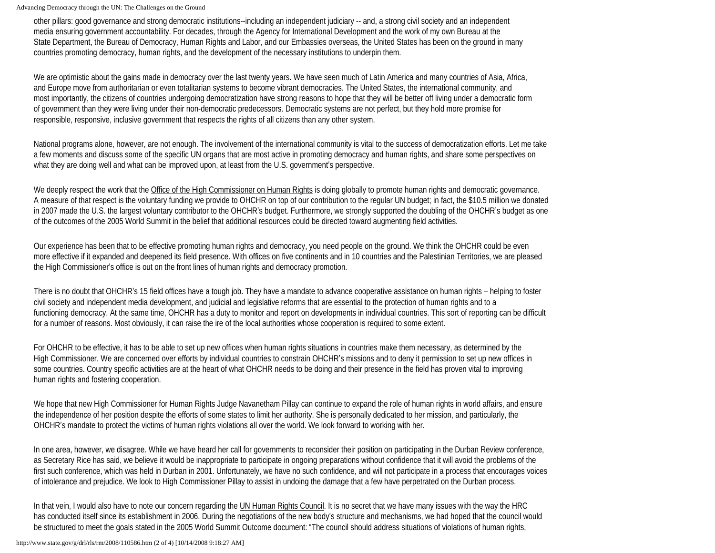other pillars: good governance and strong democratic institutions--including an independent judiciary -- and, a strong civil society and an independent media ensuring government accountability. For decades, through the Agency for International Development and the work of my own Bureau at the State Department, the Bureau of Democracy, Human Rights and Labor, and our Embassies overseas, the United States has been on the ground in many countries promoting democracy, human rights, and the development of the necessary institutions to underpin them.

We are optimistic about the gains made in democracy over the last twenty years. We have seen much of Latin America and many countries of Asia, Africa, and Europe move from authoritarian or even totalitarian systems to become vibrant democracies. The United States, the international community, and most importantly, the citizens of countries undergoing democratization have strong reasons to hope that they will be better off living under a democratic form of government than they were living under their non-democratic predecessors. Democratic systems are not perfect, but they hold more promise for responsible, responsive, inclusive government that respects the rights of all citizens than any other system.

National programs alone, however, are not enough. The involvement of the international community is vital to the success of democratization efforts. Let me take a few moments and discuss some of the specific UN organs that are most active in promoting democracy and human rights, and share some perspectives on what they are doing well and what can be improved upon, at least from the U.S. government's perspective.

We deeply respect the work that the Office of the High Commissioner on Human Rights is doing globally to promote human rights and democratic governance. A measure of that respect is the voluntary funding we provide to OHCHR on top of our contribution to the regular UN budget; in fact, the \$10.5 million we donated in 2007 made the U.S. the largest voluntary contributor to the OHCHR's budget. Furthermore, we strongly supported the doubling of the OHCHR's budget as one of the outcomes of the 2005 World Summit in the belief that additional resources could be directed toward augmenting field activities.

Our experience has been that to be effective promoting human rights and democracy, you need people on the ground. We think the OHCHR could be even more effective if it expanded and deepened its field presence. With offices on five continents and in 10 countries and the Palestinian Territories, we are pleased the High Commissioner's office is out on the front lines of human rights and democracy promotion.

There is no doubt that OHCHR's 15 field offices have a tough job. They have a mandate to advance cooperative assistance on human rights – helping to foster civil society and independent media development, and judicial and legislative reforms that are essential to the protection of human rights and to a functioning democracy. At the same time, OHCHR has a duty to monitor and report on developments in individual countries. This sort of reporting can be difficult for a number of reasons. Most obviously, it can raise the ire of the local authorities whose cooperation is required to some extent.

For OHCHR to be effective, it has to be able to set up new offices when human rights situations in countries make them necessary, as determined by the High Commissioner. We are concerned over efforts by individual countries to constrain OHCHR's missions and to deny it permission to set up new offices in some countries. Country specific activities are at the heart of what OHCHR needs to be doing and their presence in the field has proven vital to improving human rights and fostering cooperation.

We hope that new High Commissioner for Human Rights Judge Navanetham Pillay can continue to expand the role of human rights in world affairs, and ensure the independence of her position despite the efforts of some states to limit her authority. She is personally dedicated to her mission, and particularly, the OHCHR's mandate to protect the victims of human rights violations all over the world. We look forward to working with her.

In one area, however, we disagree. While we have heard her call for governments to reconsider their position on participating in the Durban Review conference, as Secretary Rice has said, we believe it would be inappropriate to participate in ongoing preparations without confidence that it will avoid the problems of the first such conference, which was held in Durban in 2001. Unfortunately, we have no such confidence, and will not participate in a process that encourages voices of intolerance and prejudice. We look to High Commissioner Pillay to assist in undoing the damage that a few have perpetrated on the Durban process.

In that vein, I would also have to note our concern regarding the UN Human Rights Council. It is no secret that we have many issues with the way the HRC has conducted itself since its establishment in 2006. During the negotiations of the new body's structure and mechanisms, we had hoped that the council would be structured to meet the goals stated in the 2005 World Summit Outcome document: "The council should address situations of violations of human rights,

http://www.state.gov/g/drl/rls/rm/2008/110586.htm (2 of 4) [10/14/2008 9:18:27 AM]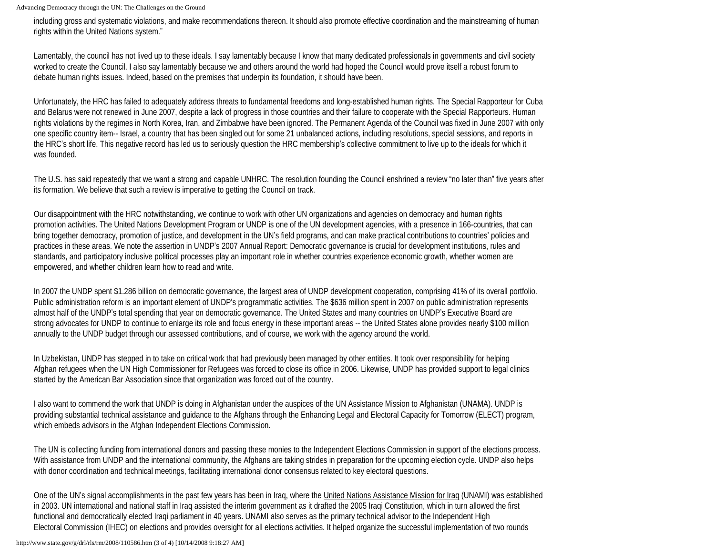including gross and systematic violations, and make recommendations thereon. It should also promote effective coordination and the mainstreaming of human rights within the United Nations system."

Lamentably, the council has not lived up to these ideals. I say lamentably because I know that many dedicated professionals in governments and civil society worked to create the Council. I also say lamentably because we and others around the world had hoped the Council would prove itself a robust forum to debate human rights issues. Indeed, based on the premises that underpin its foundation, it should have been.

Unfortunately, the HRC has failed to adequately address threats to fundamental freedoms and long-established human rights. The Special Rapporteur for Cuba and Belarus were not renewed in June 2007, despite a lack of progress in those countries and their failure to cooperate with the Special Rapporteurs. Human rights violations by the regimes in North Korea, Iran, and Zimbabwe have been ignored. The Permanent Agenda of the Council was fixed in June 2007 with only one specific country item-- Israel, a country that has been singled out for some 21 unbalanced actions, including resolutions, special sessions, and reports in the HRC's short life. This negative record has led us to seriously question the HRC membership's collective commitment to live up to the ideals for which it was founded.

The U.S. has said repeatedly that we want a strong and capable UNHRC. The resolution founding the Council enshrined a review "no later than" five years after its formation. We believe that such a review is imperative to getting the Council on track.

Our disappointment with the HRC notwithstanding, we continue to work with other UN organizations and agencies on democracy and human rights promotion activities. The United Nations Development Program or UNDP is one of the UN development agencies, with a presence in 166-countries, that can bring together democracy, promotion of justice, and development in the UN's field programs, and can make practical contributions to countries' policies and practices in these areas. We note the assertion in UNDP's 2007 Annual Report: Democratic governance is crucial for development institutions, rules and standards, and participatory inclusive political processes play an important role in whether countries experience economic growth, whether women are empowered, and whether children learn how to read and write.

In 2007 the UNDP spent \$1.286 billion on democratic governance, the largest area of UNDP development cooperation, comprising 41% of its overall portfolio. Public administration reform is an important element of UNDP's programmatic activities. The \$636 million spent in 2007 on public administration represents almost half of the UNDP's total spending that year on democratic governance. The United States and many countries on UNDP's Executive Board are strong advocates for UNDP to continue to enlarge its role and focus energy in these important areas -- the United States alone provides nearly \$100 million annually to the UNDP budget through our assessed contributions, and of course, we work with the agency around the world.

In Uzbekistan, UNDP has stepped in to take on critical work that had previously been managed by other entities. It took over responsibility for helping Afghan refugees when the UN High Commissioner for Refugees was forced to close its office in 2006. Likewise, UNDP has provided support to legal clinics started by the American Bar Association since that organization was forced out of the country.

I also want to commend the work that UNDP is doing in Afghanistan under the auspices of the UN Assistance Mission to Afghanistan (UNAMA). UNDP is providing substantial technical assistance and guidance to the Afghans through the Enhancing Legal and Electoral Capacity for Tomorrow (ELECT) program, which embeds advisors in the Afghan Independent Elections Commission.

The UN is collecting funding from international donors and passing these monies to the Independent Elections Commission in support of the elections process. With assistance from UNDP and the international community, the Afghans are taking strides in preparation for the upcoming election cycle. UNDP also helps with donor coordination and technical meetings, facilitating international donor consensus related to key electoral questions.

One of the UN's signal accomplishments in the past few years has been in Iraq, where the United Nations Assistance Mission for Iraq (UNAMI) was established in 2003. UN international and national staff in Iraq assisted the interim government as it drafted the 2005 Iraqi Constitution, which in turn allowed the first functional and democratically elected Iraqi parliament in 40 years. UNAMI also serves as the primary technical advisor to the Independent High Electoral Commission (IHEC) on elections and provides oversight for all elections activities. It helped organize the successful implementation of two rounds

http://www.state.gov/g/drl/rls/rm/2008/110586.htm (3 of 4) [10/14/2008 9:18:27 AM]